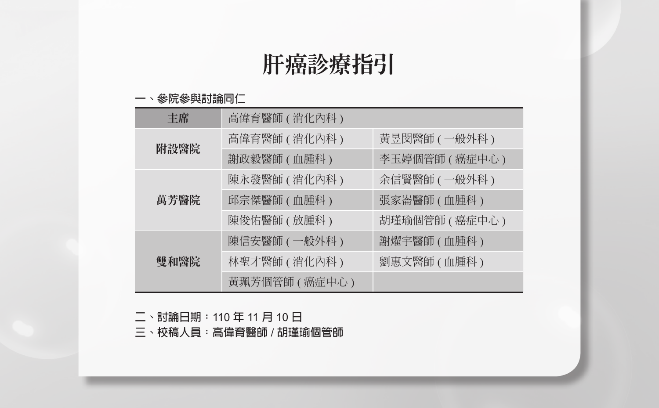# 肝癌診療指引

#### **一、參院參與討論同仁**

| 丰席   | 高偉育醫師(消化內科)    |                 |
|------|----------------|-----------------|
|      | 高偉育醫師(消化內科)    | 黃昱閔醫師 (一般外科 )   |
| 附設醫院 | 謝政毅醫師 (血腫科)    | 李玉婷個管師 ( 癌症中心 ) |
|      | 陳永發醫師(消化內科)    | 余信賢醫師 (一般外科 )   |
| 萬芳醫院 | 邱宗傑醫師 ( 血腫科 )  | 張家崙醫師 ( 血腫科 )   |
|      | 陳俊佑醫師 ( 放腫科 )  | 胡瑾瑜個管師 ( 癌症中心 ) |
| 雙和醫院 | 陳信安醫師 ( 一般外科 ) | 謝燿宇醫師 (血腫科)     |
|      | 林聖才醫師 ( 消化內科 ) | 劉惠文醫師 (血腫科)     |
|      | 黃珮芳個管師 (癌症中心)  |                 |

**二、討論日期:**110 **年** 11 **月** 10 **日**

**三、校稿人員:高偉育醫師** / **胡瑾瑜個管師**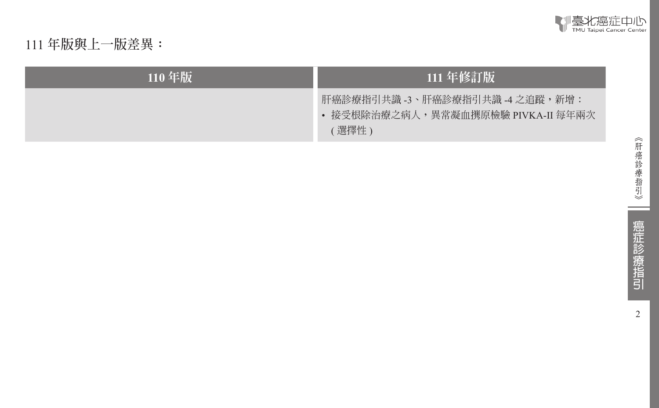

111 **年版與上一版差異:**

| $110$ 年版 | 111 年修訂版                                                                      |  |  |
|----------|-------------------------------------------------------------------------------|--|--|
|          | 肝癌診療指引共識 -3、肝癌診療指引共識 -4 之追蹤,新增:<br>• 接受根除治療之病人,異常凝血撰原檢驗 PIVKA-II 每年兩次<br>選擇性) |  |  |

--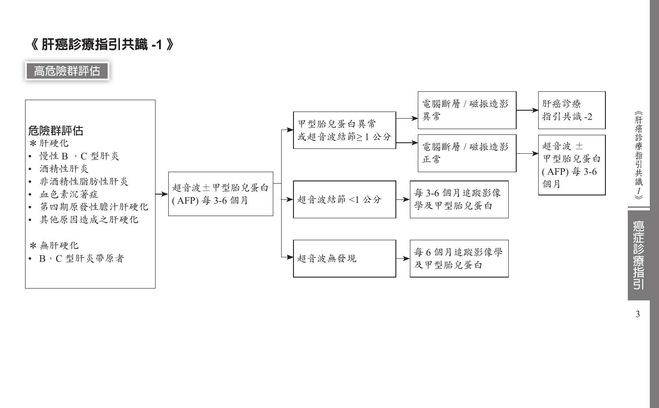## 《 肝癌診療指引共識 **-1** 》

**高危險群評估**



《肝癌診療指引共識ノ》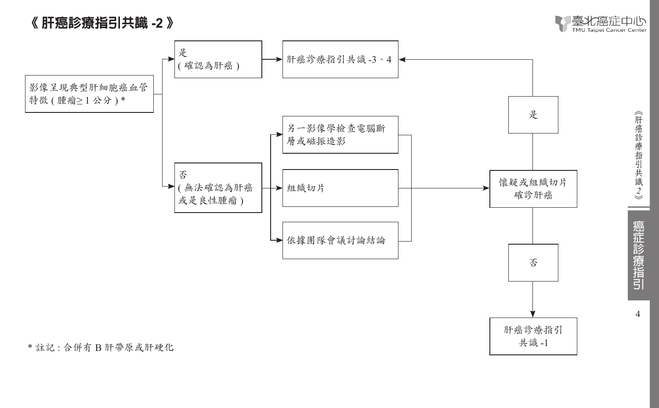## 《 肝癌診療指引共識 **-2** 》





《肝癌診療指引共識2》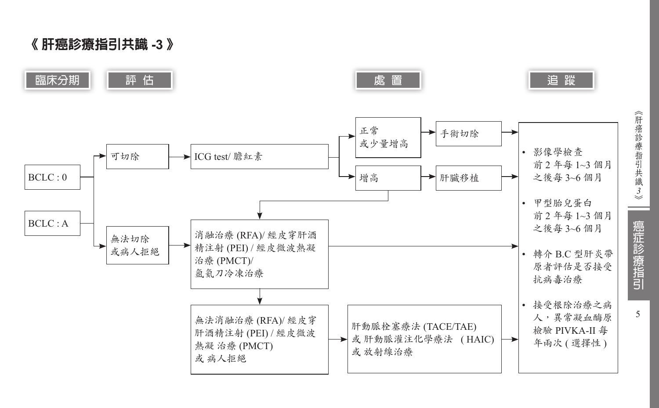# 《 肝癌診療指引共識 **-3** 》



《肝癌診療指引共識 *3*

癌症診療指引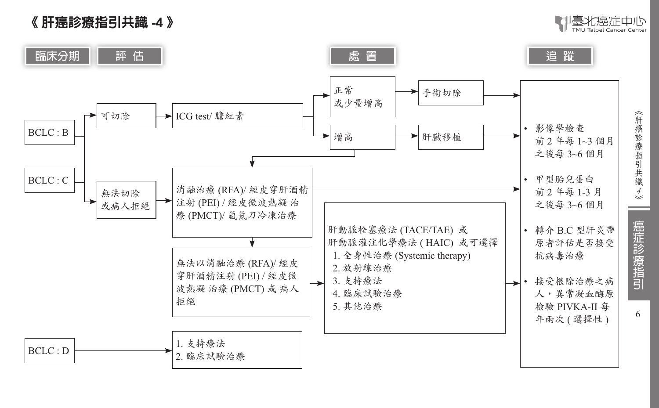# 《 肝癌診療指引共識 **-4** 》



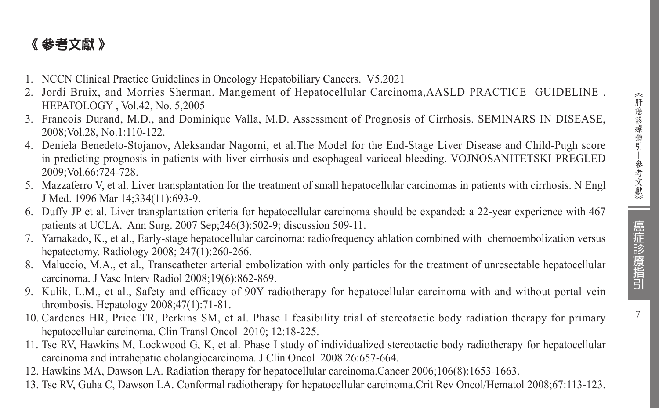7

# 《 參考文獻 》

- 1. NCCN Clinical Practice Guidelines in Oncology Hepatobiliary Cancers. V5.2021
- 2. Jordi Bruix, and Morries Sherman. Mangement of Hepatocellular Carcinoma,AASLD PRACTICE GUIDELINE. HEPATOLOGY , Vol.42, No. 5,2005
- 3. Francois Durand, M.D., and Dominique Valla, M.D. Assessment of Prognosis of Cirrhosis. SEMINARS IN DISEASE, 2008;Vol.28, No.1:110-122.
- 4. Deniela Benedeto-Stojanov, Aleksandar Nagorni, et al.The Model for the End-Stage Liver Disease and Child-Pugh score in predicting prognosis in patients with liver cirrhosis and esophageal variceal bleeding. VOJNOSANITETSKI PREGLED 2009;Vol.66:724-728.
- 5. Mazzaferro V, et al. Liver transplantation for the treatment of small hepatocellular carcinomas in patients with cirrhosis. N Engl J Med. 1996 Mar 14;334(11):693-9.
- 6. Duffy JP et al. Liver transplantation criteria for hepatocellular carcinoma should be expanded: a 22-year experience with 467 patients at UCLA. Ann Surg. 2007 Sep;246(3):502-9; discussion 509-11.
- 7. Yamakado, K., et al., Early-stage hepatocellular carcinoma: radiofrequency ablation combined with chemoembolization versus hepatectomy. Radiology 2008; 247(1):260-266.
- 8. Maluccio, M.A., et al., Transcatheter arterial embolization with only particles for the treatment of unresectable hepatocellular carcinoma. J Vasc Interv Radiol 2008;19(6):862-869.
- 9. Kulik, L.M., et al., Safety and efficacy of 90Y radiotherapy for hepatocellular carcinoma with and without portal vein thrombosis. Hepatology 2008;47(1):71-81.
- 10. Cardenes HR, Price TR, Perkins SM, et al. Phase I feasibility trial of stereotactic body radiation therapy for primary hepatocellular carcinoma. Clin Transl Oncol 2010; 12:18-225.
- 11. Tse RV, Hawkins M, Lockwood G, K, et al. Phase I study of individualized stereotactic body radiotherapy for hepatocellular carcinoma and intrahepatic cholangiocarcinoma. J Clin Oncol 2008 26:657-664.
- 12. Hawkins MA, Dawson LA. Radiation therapy for hepatocellular carcinoma.Cancer 2006;106(8):1653-1663.
- 13. Tse RV, Guha C, Dawson LA. Conformal radiotherapy for hepatocellular carcinoma.Crit Rev Oncol/Hematol 2008;67:113-123.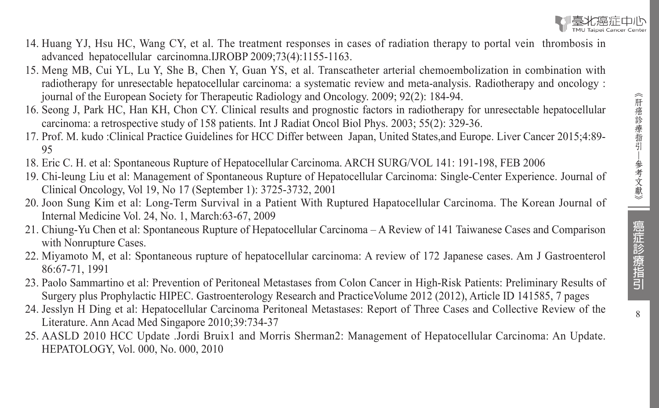

- 14. Huang YJ, Hsu HC, Wang CY, et al. The treatment responses in cases of radiation therapy to portal vein thrombosis in advanced hepatocellular carcinomna.IJROBP 2009;73(4):1155-1163.
- 15. Meng MB, Cui YL, Lu Y, She B, Chen Y, Guan YS, et al. Transcatheter arterial chemoembolization in combination with radiotherapy for unresectable hepatocellular carcinoma: a systematic review and meta-analysis. Radiotherapy and oncology : journal of the European Society for Therapeutic Radiology and Oncology. 2009; 92(2): 184-94.
- 16. Seong J, Park HC, Han KH, Chon CY. Clinical results and prognostic factors in radiotherapy for unresectable hepatocellular carcinoma: a retrospective study of 158 patients. Int J Radiat Oncol Biol Phys. 2003; 55(2): 329-36.
- 17. Prof. M. kudo :Clinical Practice Guidelines for HCC Differ between Japan, United States,and Europe. Liver Cancer 2015;4:89- 95
- 18. Eric C. H. et al: Spontaneous Rupture of Hepatocellular Carcinoma. ARCH SURG/VOL 141: 191-198, FEB 2006
- 19. Chi-leung Liu et al: Management of Spontaneous Rupture of Hepatocellular Carcinoma: Single-Center Experience. Journal of Clinical Oncology, Vol 19, No 17 (September 1): 3725-3732, 2001
- 20. Joon Sung Kim et al: Long-Term Survival in a Patient With Ruptured Hapatocellular Carcinoma. The Korean Journal of Internal Medicine Vol. 24, No. 1, March:63-67, 2009
- 21. Chiung-Yu Chen et al: Spontaneous Rupture of Hepatocellular Carcinoma A Review of 141 Taiwanese Cases and Comparison with Nonrupture Cases.
- 22. Miyamoto M, et al: Spontaneous rupture of hepatocellular carcinoma: A review of 172 Japanese cases. Am J Gastroenterol 86:67-71, 1991
- 23. Paolo Sammartino et al: Prevention of Peritoneal Metastases from Colon Cancer in High-Risk Patients: Preliminary Results of Surgery plus Prophylactic HIPEC. Gastroenterology Research and PracticeVolume 2012 (2012), Article ID 141585, 7 pages
- 24. Jesslyn H Ding et al: Hepatocellular Carcinoma Peritoneal Metastases: Report of Three Cases and Collective Review of the Literature. Ann Acad Med Singapore 2010;39:734-37
- 25. AASLD 2010 HCC Update .Jordi Bruix1 and Morris Sherman2: Management of Hepatocellular Carcinoma: An Update. HEPATOLOGY, Vol. 000, No. 000, 2010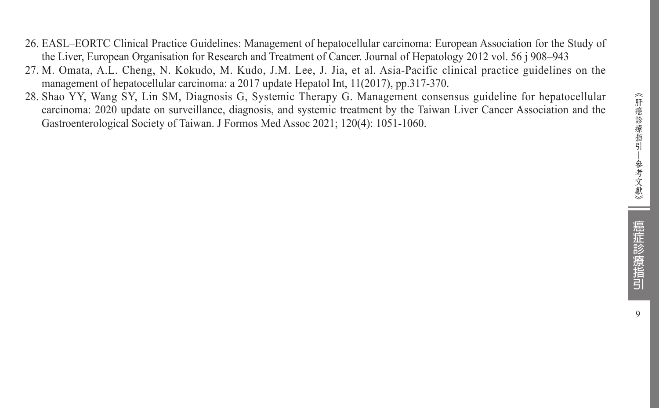- 26. EASL–EORTC Clinical Practice Guidelines: Management of hepatocellular carcinoma: European Association for the Study of the Liver, European Organisation for Research and Treatment of Cancer. Journal of Hepatology 2012 vol. 56 j 908–943
- 27. M. Omata, A.L. Cheng, N. Kokudo, M. Kudo, J.M. Lee, J. Jia, et al. Asia-Pacific clinical practice guidelines on the management of hepatocellular carcinoma: a 2017 update Hepatol Int, 11(2017), pp.317-370.
- 28. Shao YY, Wang SY, Lin SM, Diagnosis G, Systemic Therapy G. Management consensus guideline for hepatocellular carcinoma: 2020 update on surveillance, diagnosis, and systemic treatment by the Taiwan Liver Cancer Association and the Gastroenterological Society of Taiwan. J Formos Med Assoc 2021; 120(4): 1051-1060.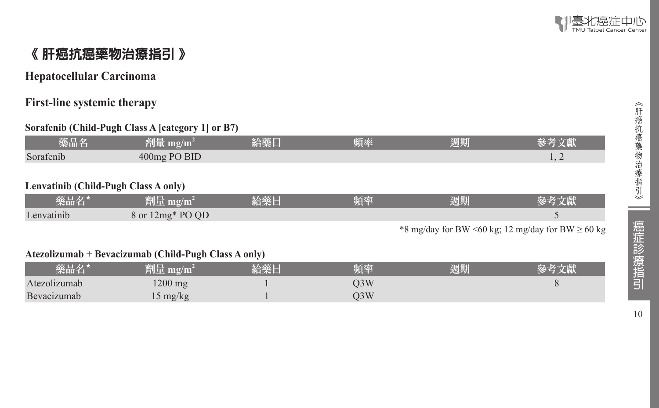

## 《 肝癌抗癌藥物治療指引 》

#### **Hepatocellular Carcinoma**

#### **First-line systemic therapy**

#### **Sorafenib (Child-Pugh Class A [category 1] or B7)**

| 藥品名                                  | 劑量 mg/m <sup>2</sup>          | 給藥日 | 賄瘞 | 週期  |  |  |  |
|--------------------------------------|-------------------------------|-----|----|-----|--|--|--|
| Sorafenib                            | 400mg PO BID                  |     |    |     |  |  |  |
|                                      |                               |     |    |     |  |  |  |
| Lenvatinib (Child-Pugh Class A only) |                               |     |    |     |  |  |  |
| 壺ロタ★                                 | 称 $\mathbb{R}$ m $\alpha/m^2$ | 込盛日 | 韬悫 | 泪 出 |  |  |  |

| 樂品名        | uni                        | 給藥日 | 頻率 | 週期 | <b>Service</b> |
|------------|----------------------------|-----|----|----|----------------|
| Lenvatinib | $12mg*POOD$<br>$8$ or $12$ |     |    |    |                |

\*8 mg/day for BW <60 kg; 12 mg/day for BW  $\geq$  60 kg

#### **Atezolizumab + Bevacizumab (Child-Pugh Class A only)**

| 藥品名'         | 劗量 mg/m´          | 給藥日 | 頃率  | 週期 |  |
|--------------|-------------------|-----|-----|----|--|
| Atezolizumab | $1200 \text{ mg}$ |     | O3W |    |  |
| Bevacizumab  | 15 mg/kg          |     | O3W |    |  |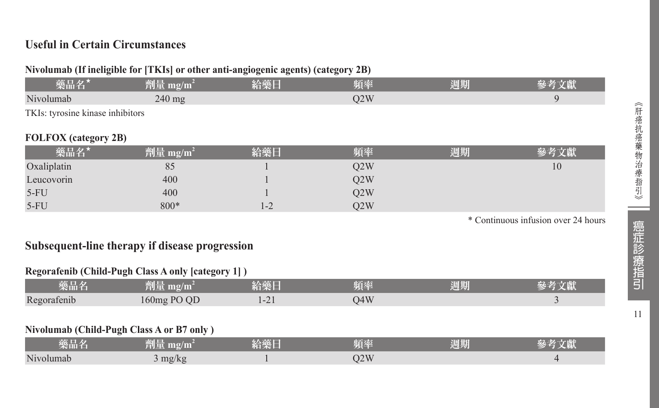#### **Useful in Certain Circumstances**

#### **Nivolumab (If ineligible for [TKIs] or other anti-angiogenic agents) (category 2B)**

| 藥品名*                                                                                                                                           | 劑量 mg/m <sup>2</sup>                                                                                                  | 经绝合                                                                                                            | 頻率  | 週期 |  |  |  |
|------------------------------------------------------------------------------------------------------------------------------------------------|-----------------------------------------------------------------------------------------------------------------------|----------------------------------------------------------------------------------------------------------------|-----|----|--|--|--|
| Nivolumab                                                                                                                                      | $240$ mg                                                                                                              |                                                                                                                | O2W |    |  |  |  |
| TKIs: tyrosine kinase inhibitors                                                                                                               |                                                                                                                       |                                                                                                                |     |    |  |  |  |
| <b>FOLFOX</b> (category 2B)<br>the contract of the contract of the contract of the contract of the contract of the contract of the contract of | <b>Contract Contract Contract Contract Contract Contract Contract Contract Contract Contract Contract Contract Co</b> | and the state of the state of the state of the state of the state of the state of the state of the state of th |     |    |  |  |  |

| 藥品名         | 顔ほ<br>劑童 mg/m̃ | 給藥日               | 頻率  | 週期 | くはん |
|-------------|----------------|-------------------|-----|----|-----|
| Oxaliplatin | 85             |                   | Q2W |    | 10  |
| Leucovorin  | 400            |                   | Q2W |    |     |
| $5-FU$      | 400            |                   | O2W |    |     |
| $5-FU$      | 800*           | $\bigcap$<br>$-2$ | O2W |    |     |

\* Continuous infusion over 24 hours

#### **Subsequent-line therapy if disease progression**

#### **Regorafenib (Child-Pugh Class A only [category 1] )**

| 藥品名         | 73 I LI<br>mg/m<br>ti i i | 給藥日           | 頻率  | <b>March Hills</b><br>週期 |  |
|-------------|---------------------------|---------------|-----|--------------------------|--|
| Regorafenib | $160mg$ PO OD             | $\sim$<br>$-$ | 04W |                          |  |

#### **Nivolumab (Child-Pugh Class A or B7 only )**

| 藥品名       | 削量厂<br>mg/m | 給藥日 | 陌來  | 週期 | $\sim$ rv |
|-----------|-------------|-----|-----|----|-----------|
| Nivolumab | mg/kg       |     | O2W |    |           |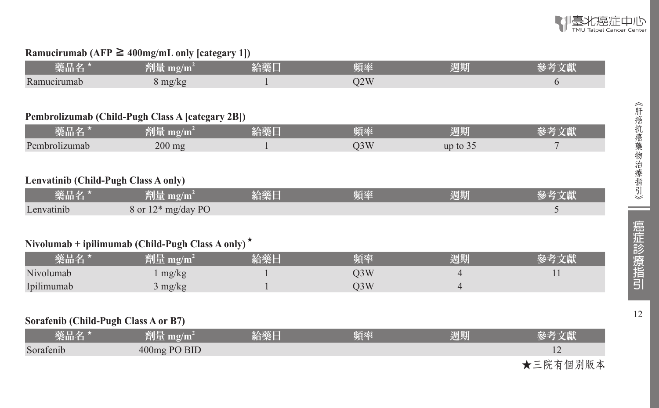

#### **Ramucirumab (AFP** ≧ **400mg/mL only [categary 1])**

| 樂品名              | mg/m<br>消化区    | 給藥日 | 頻率  | 週期 |  |
|------------------|----------------|-----|-----|----|--|
| Ran<br>nucirumab | max/ z <br>(K, |     | O2W |    |  |

#### **Pembrolizumab (Child-Pugh Class A [categary 2B])**

| 樂品名           | ≿al E<br>$\mathbf{m}\mathbf{g}/\mathbf{m}$<br>TUL | ATLE T<br>בפי<br>스버지 도<br>ロベー | 頻率    | 週期         |  |
|---------------|---------------------------------------------------|-------------------------------|-------|------------|--|
| Pembrolizumab | $200$ mg                                          |                               | JJ VY | up to $35$ |  |

#### **Lenvatinib (Child-Pugh Class A only)**

| 藥品名        | $^2$ $^2$ mg/m <sup>2</sup> | 給藥日 | 頻率 | 週期 | 哀老立辭 |
|------------|-----------------------------|-----|----|----|------|
| Lenvatinib | 8 or 12* mg/day PO          |     |    |    |      |

#### **Nivolumab + ipilimumab (Child-Pugh Class A only)** ★

| 藥品名        | 劑量 mg/m <sup>3</sup> | 給藥日 | 頻率  | 週期 |  |
|------------|----------------------|-----|-----|----|--|
| Nivolumab  | mg/kg                |     | J3W |    |  |
| Ipilimumab | ' mg/kg              |     | )3W |    |  |

#### **Sorafenib (Child-Pugh Class A or B7)**

| 樂品名/      | 劑量 mg/m $^2$ | 給藥日 | 頻率 | 週期 | 參考文獻           |
|-----------|--------------|-----|----|----|----------------|
| Sorafenib | 400mg PO BID |     |    |    | $\overline{1}$ |
|           |              |     |    |    | ★三院有個別版本       |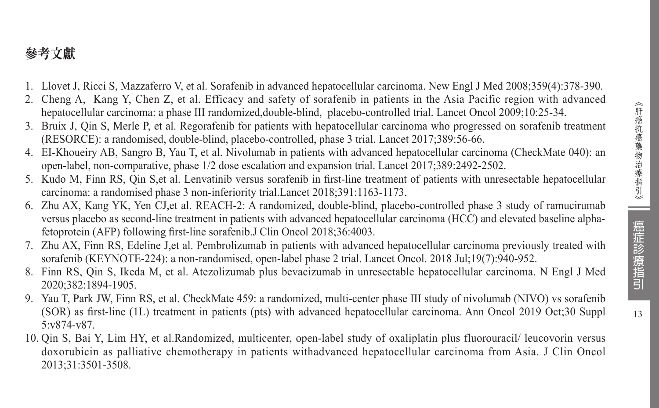# 參考文獻

- 1. Llovet J, Ricci S, Mazzaferro V, et al. Sorafenib in advanced hepatocellular carcinoma. New Engl J Med 2008;359(4):378-390.
- 2. Cheng A, Kang Y, Chen Z, et al. Efficacy and safety of sorafenib in patients in the Asia Pacific region with advanced hepatocellular carcinoma: a phase III randomized,double-blind, placebo-controlled trial. Lancet Oncol 2009;10:25-34.
- 3. Bruix J, Qin S, Merle P, et al. Regorafenib for patients with hepatocellular carcinoma who progressed on sorafenib treatment (RESORCE): a randomised, double-blind, placebo-controlled, phase 3 trial. Lancet 2017;389:56-66.
- 4. EI-Khoueiry AB, Sangro B, Yau T, et al. Nivolumab in patients with advanced hepatocellular carcinoma (CheckMate 040): an open-label, non-comparative, phase 1/2 dose escalation and expansion trial. Lancet 2017;389:2492-2502.
- 5. Kudo M, Finn RS, Qin S,et al. Lenvatinib versus sorafenib in first-line treatment of patients with unresectable hepatocellular carcinoma: a randomised phase 3 non-inferiority trial.Lancet 2018;391:1163-1173.
- 6. Zhu AX, Kang YK, Yen CJ,et al. REACH-2: A randomized, double-blind, placebo-controlled phase 3 study of ramucirumab versus placebo as second-line treatment in patients with advanced hepatocellular carcinoma (HCC) and elevated baseline alphafetoprotein (AFP) following first-line sorafenib.J Clin Oncol 2018;36:4003.
- 7. Zhu AX, Finn RS, Edeline J,et al. Pembrolizumab in patients with advanced hepatocellular carcinoma previously treated with sorafenib (KEYNOTE-224): a non-randomised, open-label phase 2 trial. Lancet Oncol. 2018 Jul;19(7):940-952.
- 8. Finn RS, Qin S, Ikeda M, et al. Atezolizumab plus bevacizumab in unresectable hepatocellular carcinoma. N Engl J Med 2020;382:1894-1905.
- 9. Yau T, Park JW, Finn RS, et al. CheckMate 459: a randomized, multi-center phase III study of nivolumab (NIVO) vs sorafenib (SOR) as first-line (1L) treatment in patients (pts) with advanced hepatocellular carcinoma. Ann Oncol 2019 Oct;30 Suppl 5:v874-v87.
- 10. Qin S, Bai Y, Lim HY, et al.Randomized, multicenter, open-label study of oxaliplatin plus fluorouracil/ leucovorin versus doxorubicin as palliative chemotherapy in patients withadvanced hepatocellular carcinoma from Asia. J Clin Oncol 2013;31:3501-3508.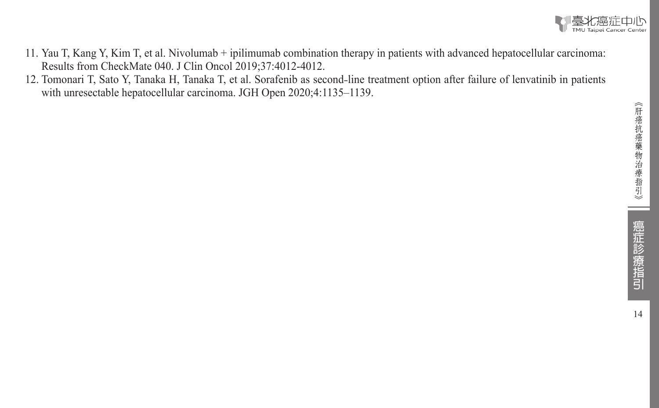

- 11. Yau T, Kang Y, Kim T, et al. Nivolumab + ipilimumab combination therapy in patients with advanced hepatocellular carcinoma: Results from CheckMate 040. J Clin Oncol 2019;37:4012-4012.
- 12. Tomonari T, Sato Y, Tanaka H, Tanaka T, et al. Sorafenib as second-line treatment option after failure of lenvatinib in patients with unresectable hepatocellular carcinoma. JGH Open 2020;4:1135–1139.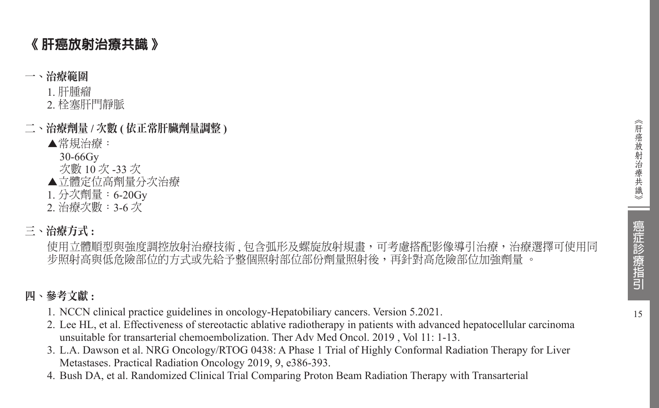# 《 肝癌放射治療共識 》

#### 一、治療範圍

1. 肝腫瘤

- 2. 栓塞肝門靜脈
- 二、治療劑量 **/** 次數 **(** 依正常肝臟劑量調整 **)**
	- ▲常規治療:

 30-66Gy

- 次數 10 次 -33 次
- ▲立體定位高劑量分次治療
- 1. 分次劑量:6-20Gy
- 2. 治療次數:3-6 次

## 三、治療方式 **:**

使用立體順型與強度調控放射治療技術, 包含弧形及螺旋放射規畫, 可考慮搭配影像導引治療, 治療選擇可使用同 步照射高與低危險部位的方式或先給予整個照射部位部份劑量照射後,再針對高危險部位加強劑量 。

### 四、參考文獻 **:**

- 1. NCCN clinical practice guidelines in oncology-Hepatobiliary cancers. Version 5.2021.
- 2. Lee HL, et al. Effectiveness of stereotactic ablative radiotherapy in patients with advanced hepatocellular carcinoma unsuitable for transarterial chemoembolization. Ther Adv Med Oncol. 2019, Vol 11: 1-13.
- 3. L.A. Dawson et al. NRG Oncology/RTOG 0438: A Phase 1 Trial of Highly Conformal Radiation Therapy for Liver Metastases. Practical Radiation Oncology 2019, 9, e386-393.
- 4. Bush DA, et al. Randomized Clinical Trial Comparing Proton Beam Radiation Therapy with Transarterial